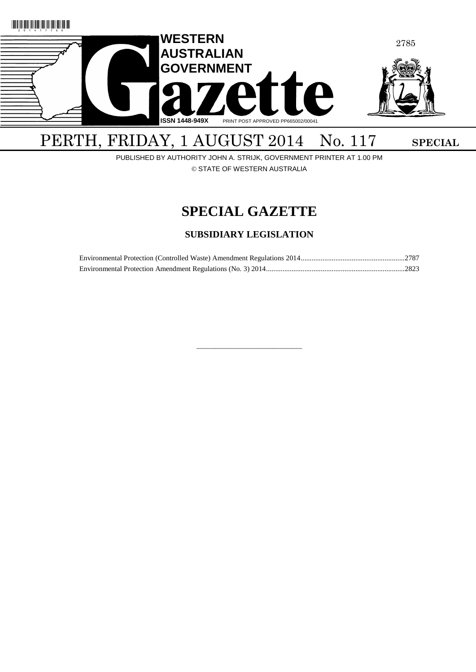

# PERTH, FRIDAY, 1 AUGUST 2014 No. 117 SPECIAL

PUBLISHED BY AUTHORITY JOHN A. STRIJK, GOVERNMENT PRINTER AT 1.00 PM © STATE OF WESTERN AUSTRALIA

# **SPECIAL GAZETTE**

# **SUBSIDIARY LEGISLATION**

————————————————————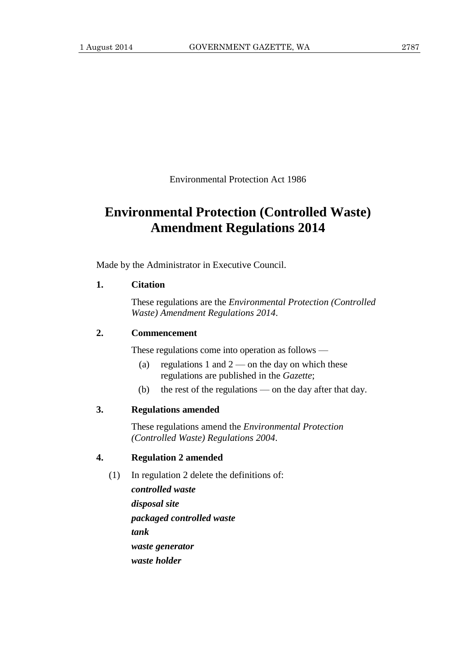Environmental Protection Act 1986

# **Environmental Protection (Controlled Waste) Amendment Regulations 2014**

Made by the Administrator in Executive Council.

# **1. Citation**

These regulations are the *Environmental Protection (Controlled Waste) Amendment Regulations 2014*.

# **2. Commencement**

These regulations come into operation as follows —

- (a) regulations 1 and  $2$  on the day on which these regulations are published in the *Gazette*;
- (b) the rest of the regulations on the day after that day.

# **3. Regulations amended**

These regulations amend the *Environmental Protection (Controlled Waste) Regulations 2004*.

# **4. Regulation 2 amended**

- (1) In regulation 2 delete the definitions of:
	- *controlled waste disposal site packaged controlled waste tank waste generator waste holder*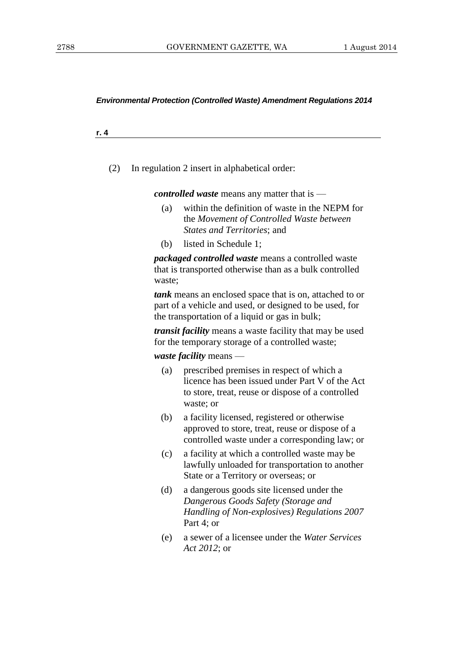**r. 4**

(2) In regulation 2 insert in alphabetical order:

*controlled waste* means any matter that is —

- (a) within the definition of waste in the NEPM for the *Movement of Controlled Waste between States and Territories*; and
- (b) listed in Schedule 1;

*packaged controlled waste* means a controlled waste that is transported otherwise than as a bulk controlled waste;

*tank* means an enclosed space that is on, attached to or part of a vehicle and used, or designed to be used, for the transportation of a liquid or gas in bulk;

*transit facility* means a waste facility that may be used for the temporary storage of a controlled waste;

*waste facility* means —

- (a) prescribed premises in respect of which a licence has been issued under Part V of the Act to store, treat, reuse or dispose of a controlled waste; or
- (b) a facility licensed, registered or otherwise approved to store, treat, reuse or dispose of a controlled waste under a corresponding law; or
- (c) a facility at which a controlled waste may be lawfully unloaded for transportation to another State or a Territory or overseas; or
- (d) a dangerous goods site licensed under the *Dangerous Goods Safety (Storage and Handling of Non-explosives) Regulations 2007* Part 4; or
- (e) a sewer of a licensee under the *Water Services Act 2012*; or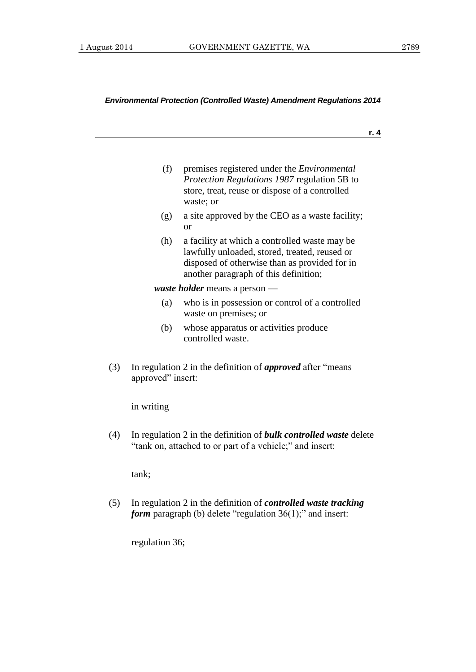**r. 4**

- (f) premises registered under the *Environmental Protection Regulations 1987* regulation 5B to store, treat, reuse or dispose of a controlled waste; or
- (g) a site approved by the CEO as a waste facility; or
- (h) a facility at which a controlled waste may be lawfully unloaded, stored, treated, reused or disposed of otherwise than as provided for in another paragraph of this definition;

*waste holder* means a person —

- (a) who is in possession or control of a controlled waste on premises; or
- (b) whose apparatus or activities produce controlled waste.
- (3) In regulation 2 in the definition of *approved* after "means approved" insert:

in writing

(4) In regulation 2 in the definition of *bulk controlled waste* delete "tank on, attached to or part of a vehicle;" and insert:

tank;

(5) In regulation 2 in the definition of *controlled waste tracking form* paragraph (b) delete "regulation 36(1);" and insert:

regulation 36;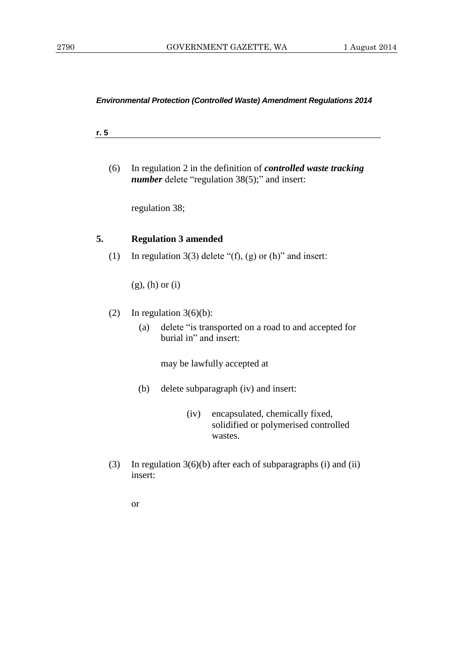| . . |  |  |  |
|-----|--|--|--|
|     |  |  |  |

(6) In regulation 2 in the definition of *controlled waste tracking number* delete "regulation 38(5);" and insert:

regulation 38;

# **5. Regulation 3 amended**

(1) In regulation 3(3) delete " $(f)$ , (g) or  $(h)$ " and insert:

(g), (h) or (i)

- (2) In regulation  $3(6)(b)$ :
	- (a) delete "is transported on a road to and accepted for burial in" and insert:

may be lawfully accepted at

- (b) delete subparagraph (iv) and insert:
	- (iv) encapsulated, chemically fixed, solidified or polymerised controlled wastes.
- (3) In regulation 3(6)(b) after each of subparagraphs (i) and (ii) insert: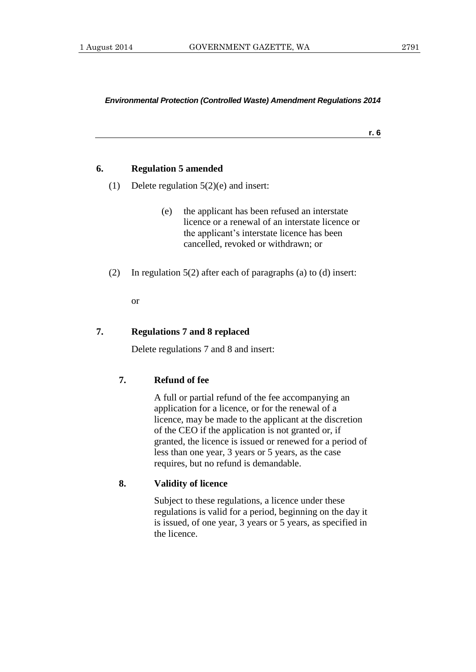**r. 6**

# **6. Regulation 5 amended**

- (1) Delete regulation 5(2)(e) and insert:
	- (e) the applicant has been refused an interstate licence or a renewal of an interstate licence or the applicant's interstate licence has been cancelled, revoked or withdrawn; or
- (2) In regulation 5(2) after each of paragraphs (a) to (d) insert:

or

# **7. Regulations 7 and 8 replaced**

Delete regulations 7 and 8 and insert:

# **7. Refund of fee**

A full or partial refund of the fee accompanying an application for a licence, or for the renewal of a licence, may be made to the applicant at the discretion of the CEO if the application is not granted or, if granted, the licence is issued or renewed for a period of less than one year, 3 years or 5 years, as the case requires, but no refund is demandable.

## **8. Validity of licence**

Subject to these regulations, a licence under these regulations is valid for a period, beginning on the day it is issued, of one year, 3 years or 5 years, as specified in the licence.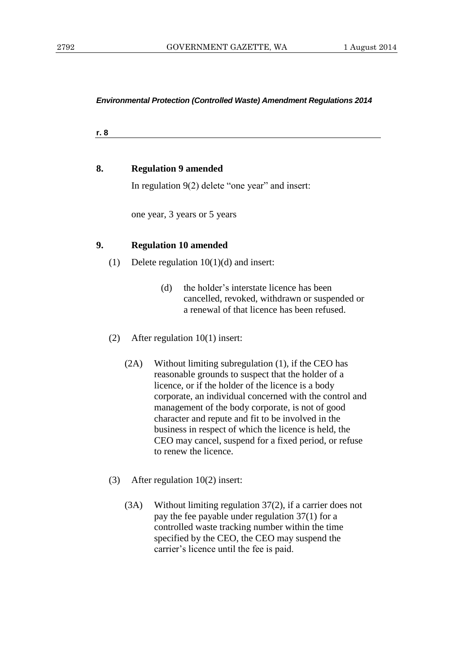**r. 8**

# **8. Regulation 9 amended**

In regulation 9(2) delete "one year" and insert:

one year, 3 years or 5 years

# **9. Regulation 10 amended**

- (1) Delete regulation 10(1)(d) and insert:
	- (d) the holder's interstate licence has been cancelled, revoked, withdrawn or suspended or a renewal of that licence has been refused.
- (2) After regulation 10(1) insert:
	- (2A) Without limiting subregulation (1), if the CEO has reasonable grounds to suspect that the holder of a licence, or if the holder of the licence is a body corporate, an individual concerned with the control and management of the body corporate, is not of good character and repute and fit to be involved in the business in respect of which the licence is held, the CEO may cancel, suspend for a fixed period, or refuse to renew the licence.
- (3) After regulation 10(2) insert:
	- (3A) Without limiting regulation 37(2), if a carrier does not pay the fee payable under regulation 37(1) for a controlled waste tracking number within the time specified by the CEO, the CEO may suspend the carrier's licence until the fee is paid.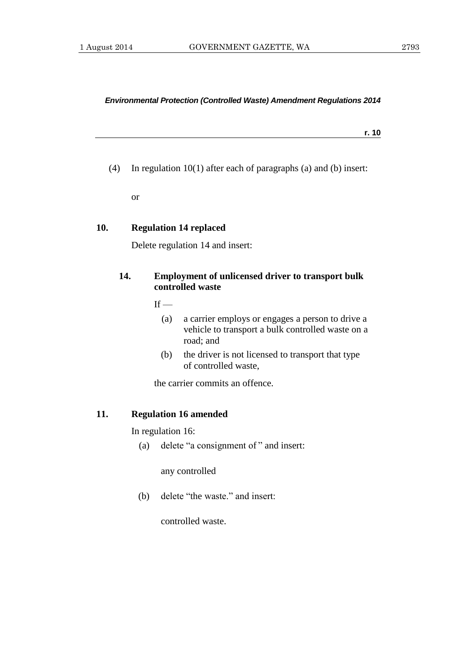**r. 10**

(4) In regulation 10(1) after each of paragraphs (a) and (b) insert:

or

# **10. Regulation 14 replaced**

Delete regulation 14 and insert:

# **14. Employment of unlicensed driver to transport bulk controlled waste**

 $If -$ 

- (a) a carrier employs or engages a person to drive a vehicle to transport a bulk controlled waste on a road; and
- (b) the driver is not licensed to transport that type of controlled waste,

the carrier commits an offence.

# **11. Regulation 16 amended**

In regulation 16:

(a) delete "a consignment of " and insert:

any controlled

(b) delete "the waste." and insert:

controlled waste.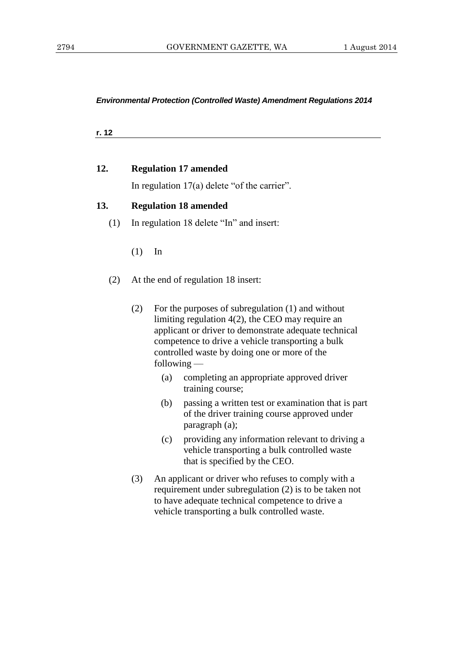**r. 12**

# **12. Regulation 17 amended**

In regulation 17(a) delete "of the carrier".

# **13. Regulation 18 amended**

- (1) In regulation 18 delete "In" and insert:
	- (1) In
- (2) At the end of regulation 18 insert:
	- (2) For the purposes of subregulation (1) and without limiting regulation 4(2), the CEO may require an applicant or driver to demonstrate adequate technical competence to drive a vehicle transporting a bulk controlled waste by doing one or more of the following —
		- (a) completing an appropriate approved driver training course;
		- (b) passing a written test or examination that is part of the driver training course approved under paragraph (a);
		- (c) providing any information relevant to driving a vehicle transporting a bulk controlled waste that is specified by the CEO.
	- (3) An applicant or driver who refuses to comply with a requirement under subregulation (2) is to be taken not to have adequate technical competence to drive a vehicle transporting a bulk controlled waste.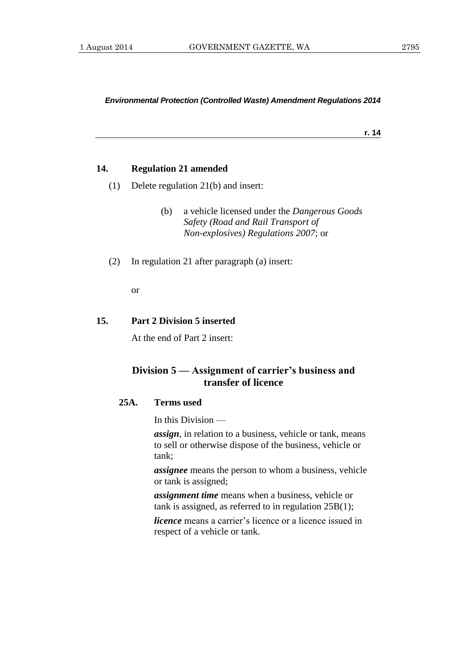**r. 14**

# **14. Regulation 21 amended**

- (1) Delete regulation 21(b) and insert:
	- (b) a vehicle licensed under the *Dangerous Goods Safety (Road and Rail Transport of Non-explosives) Regulations 2007*; or
- (2) In regulation 21 after paragraph (a) insert:

or

# **15. Part 2 Division 5 inserted**

At the end of Part 2 insert:

# **Division 5 — Assignment of carrier's business and transfer of licence**

# **25A. Terms used**

In this Division —

*assign*, in relation to a business, vehicle or tank, means to sell or otherwise dispose of the business, vehicle or tank;

*assignee* means the person to whom a business, vehicle or tank is assigned;

*assignment time* means when a business, vehicle or tank is assigned, as referred to in regulation 25B(1);

*licence* means a carrier's licence or a licence issued in respect of a vehicle or tank.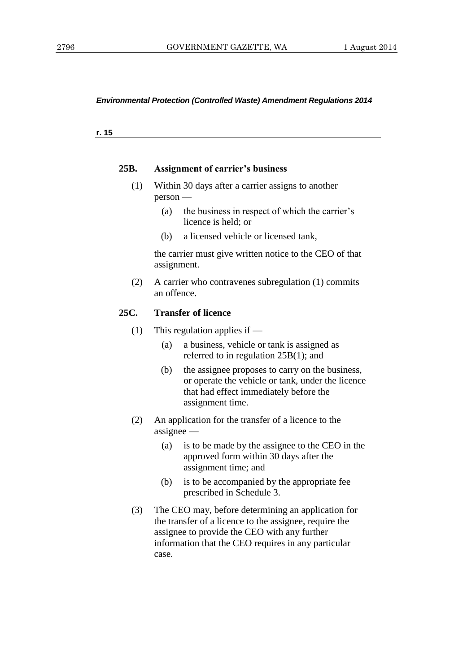**r. 15**

#### **25B. Assignment of carrier's business**

- (1) Within 30 days after a carrier assigns to another person —
	- (a) the business in respect of which the carrier's licence is held; or
	- (b) a licensed vehicle or licensed tank,

the carrier must give written notice to the CEO of that assignment.

(2) A carrier who contravenes subregulation (1) commits an offence.

## **25C. Transfer of licence**

- (1) This regulation applies if
	- (a) a business, vehicle or tank is assigned as referred to in regulation 25B(1); and
	- (b) the assignee proposes to carry on the business, or operate the vehicle or tank, under the licence that had effect immediately before the assignment time.
- (2) An application for the transfer of a licence to the assignee —
	- (a) is to be made by the assignee to the CEO in the approved form within 30 days after the assignment time; and
	- (b) is to be accompanied by the appropriate fee prescribed in Schedule 3.
- (3) The CEO may, before determining an application for the transfer of a licence to the assignee, require the assignee to provide the CEO with any further information that the CEO requires in any particular case.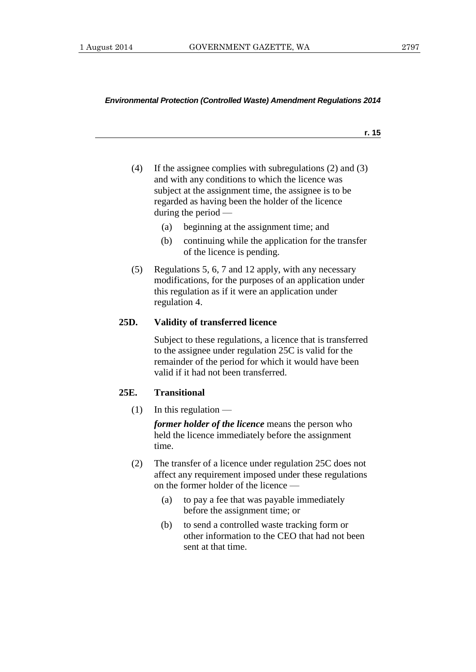- **r. 15**
- (4) If the assignee complies with subregulations (2) and (3) and with any conditions to which the licence was subject at the assignment time, the assignee is to be regarded as having been the holder of the licence during the period —
	- (a) beginning at the assignment time; and
	- (b) continuing while the application for the transfer of the licence is pending.
- (5) Regulations 5, 6, 7 and 12 apply, with any necessary modifications, for the purposes of an application under this regulation as if it were an application under regulation 4.

# **25D. Validity of transferred licence**

Subject to these regulations, a licence that is transferred to the assignee under regulation 25C is valid for the remainder of the period for which it would have been valid if it had not been transferred.

# **25E. Transitional**

 $(1)$  In this regulation —

*former holder of the licence* means the person who held the licence immediately before the assignment time.

- (2) The transfer of a licence under regulation 25C does not affect any requirement imposed under these regulations on the former holder of the licence —
	- (a) to pay a fee that was payable immediately before the assignment time; or
	- (b) to send a controlled waste tracking form or other information to the CEO that had not been sent at that time.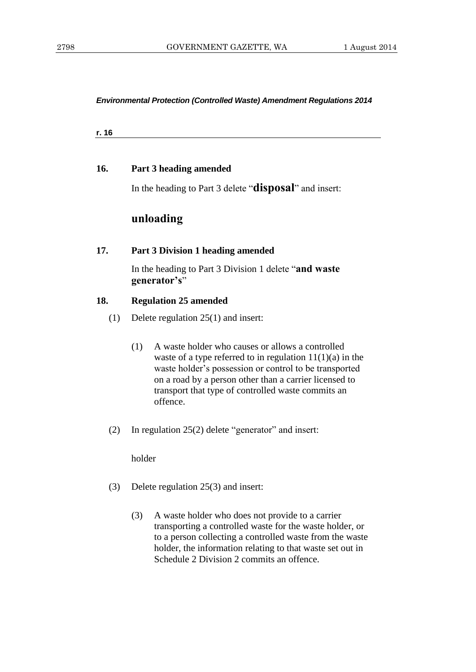**r. 16**

# **16. Part 3 heading amended**

In the heading to Part 3 delete "**disposal**" and insert:

# **unloading**

# **17. Part 3 Division 1 heading amended**

In the heading to Part 3 Division 1 delete "**and waste generator's**"

# **18. Regulation 25 amended**

- (1) Delete regulation 25(1) and insert:
	- (1) A waste holder who causes or allows a controlled waste of a type referred to in regulation  $11(1)(a)$  in the waste holder's possession or control to be transported on a road by a person other than a carrier licensed to transport that type of controlled waste commits an offence.
- (2) In regulation 25(2) delete "generator" and insert:

holder

- (3) Delete regulation 25(3) and insert:
	- (3) A waste holder who does not provide to a carrier transporting a controlled waste for the waste holder, or to a person collecting a controlled waste from the waste holder, the information relating to that waste set out in Schedule 2 Division 2 commits an offence.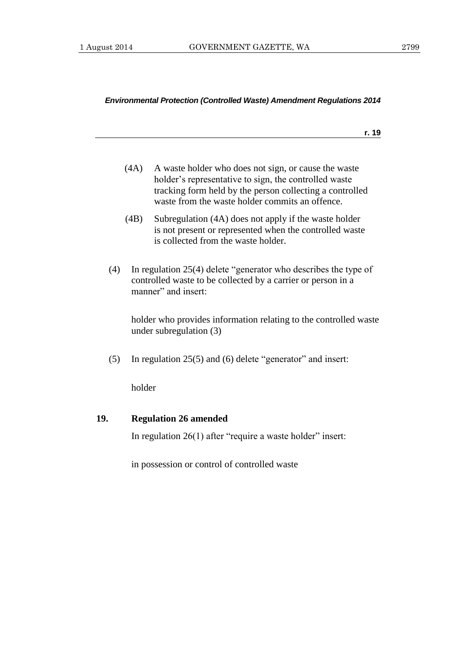**r. 19**

| (4A) | A waste holder who does not sign, or cause the waste     |
|------|----------------------------------------------------------|
|      | holder's representative to sign, the controlled waste    |
|      | tracking form held by the person collecting a controlled |
|      | waste from the waste holder commits an offence.          |

- (4B) Subregulation (4A) does not apply if the waste holder is not present or represented when the controlled waste is collected from the waste holder.
- (4) In regulation 25(4) delete "generator who describes the type of controlled waste to be collected by a carrier or person in a manner" and insert:

holder who provides information relating to the controlled waste under subregulation (3)

(5) In regulation 25(5) and (6) delete "generator" and insert:

holder

# **19. Regulation 26 amended**

In regulation 26(1) after "require a waste holder" insert:

in possession or control of controlled waste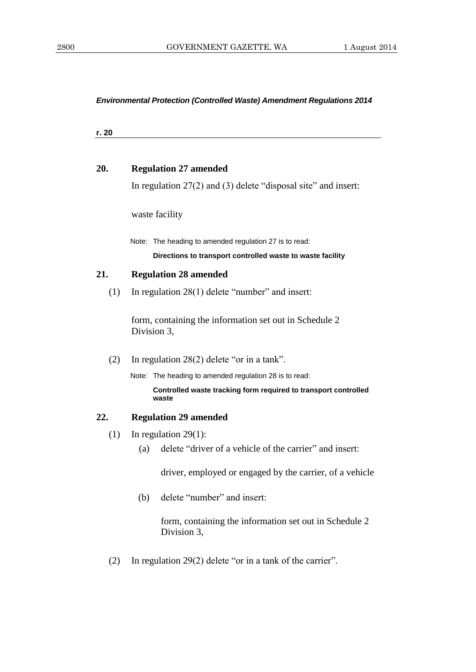**r. 20**

# **20. Regulation 27 amended**

In regulation 27(2) and (3) delete "disposal site" and insert:

waste facility

Note: The heading to amended regulation 27 is to read:

#### **Directions to transport controlled waste to waste facility**

# **21. Regulation 28 amended**

(1) In regulation 28(1) delete "number" and insert:

form, containing the information set out in Schedule 2 Division 3,

(2) In regulation 28(2) delete "or in a tank".

Note: The heading to amended regulation 28 is to read:

**Controlled waste tracking form required to transport controlled waste**

### **22. Regulation 29 amended**

- (1) In regulation 29(1):
	- (a) delete "driver of a vehicle of the carrier" and insert:

driver, employed or engaged by the carrier, of a vehicle

(b) delete "number" and insert:

form, containing the information set out in Schedule 2 Division 3,

(2) In regulation 29(2) delete "or in a tank of the carrier".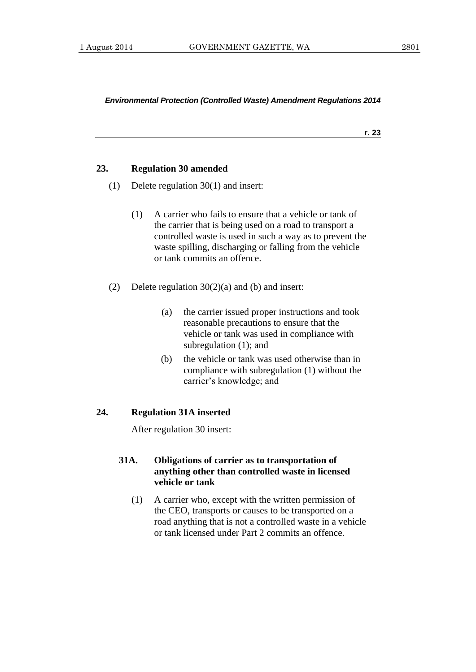**r. 23**

# **23. Regulation 30 amended**

- (1) Delete regulation 30(1) and insert:
	- (1) A carrier who fails to ensure that a vehicle or tank of the carrier that is being used on a road to transport a controlled waste is used in such a way as to prevent the waste spilling, discharging or falling from the vehicle or tank commits an offence.
- (2) Delete regulation 30(2)(a) and (b) and insert:
	- (a) the carrier issued proper instructions and took reasonable precautions to ensure that the vehicle or tank was used in compliance with subregulation (1); and
	- (b) the vehicle or tank was used otherwise than in compliance with subregulation (1) without the carrier's knowledge; and

## **24. Regulation 31A inserted**

After regulation 30 insert:

# **31A. Obligations of carrier as to transportation of anything other than controlled waste in licensed vehicle or tank**

(1) A carrier who, except with the written permission of the CEO, transports or causes to be transported on a road anything that is not a controlled waste in a vehicle or tank licensed under Part 2 commits an offence.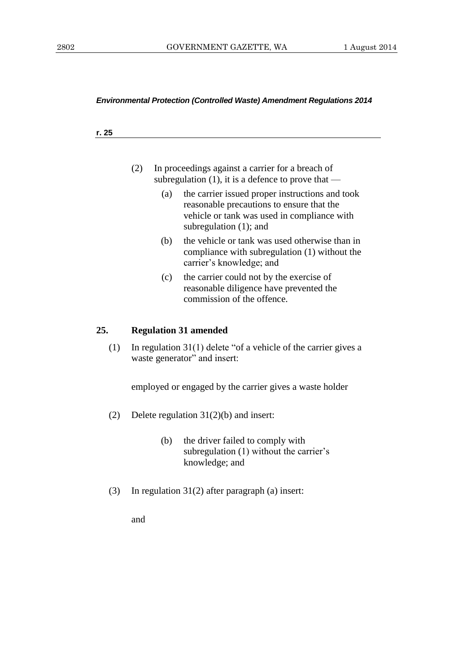#### **r. 25**

| (2) | In proceedings against a carrier for a breach of   |
|-----|----------------------------------------------------|
|     | subregulation (1), it is a defence to prove that — |

- (a) the carrier issued proper instructions and took reasonable precautions to ensure that the vehicle or tank was used in compliance with subregulation (1); and
- (b) the vehicle or tank was used otherwise than in compliance with subregulation (1) without the carrier's knowledge; and
- (c) the carrier could not by the exercise of reasonable diligence have prevented the commission of the offence.

# **25. Regulation 31 amended**

(1) In regulation 31(1) delete "of a vehicle of the carrier gives a waste generator" and insert:

employed or engaged by the carrier gives a waste holder

- (2) Delete regulation 31(2)(b) and insert:
	- (b) the driver failed to comply with subregulation (1) without the carrier's knowledge; and
- (3) In regulation 31(2) after paragraph (a) insert:

and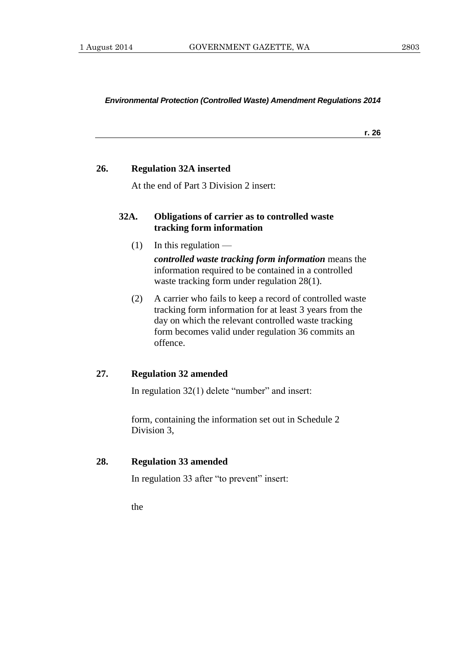**r. 26**

### **26. Regulation 32A inserted**

At the end of Part 3 Division 2 insert:

# **32A. Obligations of carrier as to controlled waste tracking form information**

 $(1)$  In this regulation —

*controlled waste tracking form information* means the information required to be contained in a controlled waste tracking form under regulation 28(1).

(2) A carrier who fails to keep a record of controlled waste tracking form information for at least 3 years from the day on which the relevant controlled waste tracking form becomes valid under regulation 36 commits an offence.

# **27. Regulation 32 amended**

In regulation 32(1) delete "number" and insert:

form, containing the information set out in Schedule 2 Division 3,

# **28. Regulation 33 amended**

In regulation 33 after "to prevent" insert:

the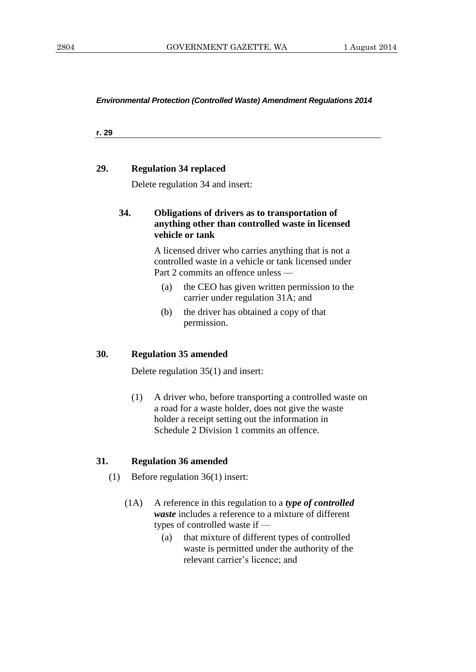**r. 29**

## **29. Regulation 34 replaced**

Delete regulation 34 and insert:

# **34. Obligations of drivers as to transportation of anything other than controlled waste in licensed vehicle or tank**

A licensed driver who carries anything that is not a controlled waste in a vehicle or tank licensed under Part 2 commits an offence unless —

- (a) the CEO has given written permission to the carrier under regulation 31A; and
- (b) the driver has obtained a copy of that permission.

# **30. Regulation 35 amended**

Delete regulation 35(1) and insert:

(1) A driver who, before transporting a controlled waste on a road for a waste holder, does not give the waste holder a receipt setting out the information in Schedule 2 Division 1 commits an offence.

# **31. Regulation 36 amended**

- (1) Before regulation 36(1) insert:
	- (1A) A reference in this regulation to a *type of controlled waste* includes a reference to a mixture of different types of controlled waste if —
		- (a) that mixture of different types of controlled waste is permitted under the authority of the relevant carrier's licence; and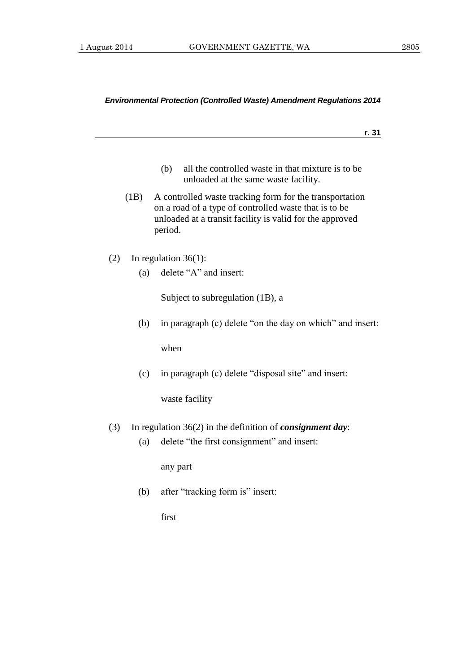| Ξ<br>٦<br>×<br>۰. |
|-------------------|
|-------------------|

- (b) all the controlled waste in that mixture is to be unloaded at the same waste facility.
- (1B) A controlled waste tracking form for the transportation on a road of a type of controlled waste that is to be unloaded at a transit facility is valid for the approved period.
- (2) In regulation 36(1):
	- (a) delete "A" and insert:

Subject to subregulation (1B), a

(b) in paragraph (c) delete "on the day on which" and insert:

when

(c) in paragraph (c) delete "disposal site" and insert:

waste facility

- (3) In regulation 36(2) in the definition of *consignment day*:
	- (a) delete "the first consignment" and insert:

any part

(b) after "tracking form is" insert:

first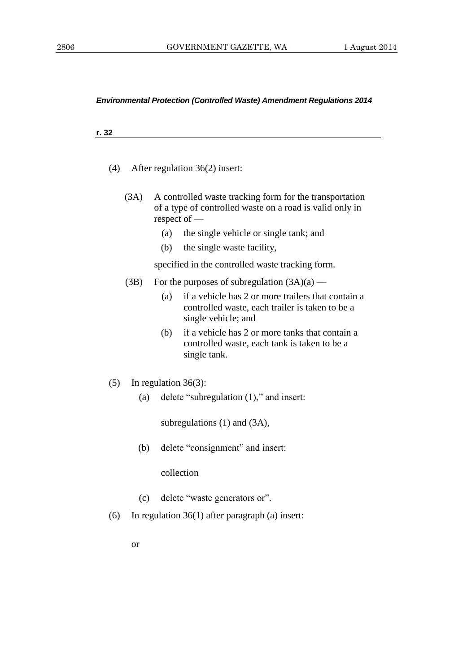#### **r. 32**

- (4) After regulation 36(2) insert:
	- (3A) A controlled waste tracking form for the transportation of a type of controlled waste on a road is valid only in respect of —
		- (a) the single vehicle or single tank; and
		- (b) the single waste facility,

specified in the controlled waste tracking form.

- (3B) For the purposes of subregulation  $(3A)(a)$ 
	- (a) if a vehicle has 2 or more trailers that contain a controlled waste, each trailer is taken to be a single vehicle; and
	- (b) if a vehicle has 2 or more tanks that contain a controlled waste, each tank is taken to be a single tank.
- (5) In regulation 36(3):
	- (a) delete "subregulation (1)," and insert:

subregulations (1) and (3A),

(b) delete "consignment" and insert:

collection

- (c) delete "waste generators or".
- (6) In regulation 36(1) after paragraph (a) insert:
	- or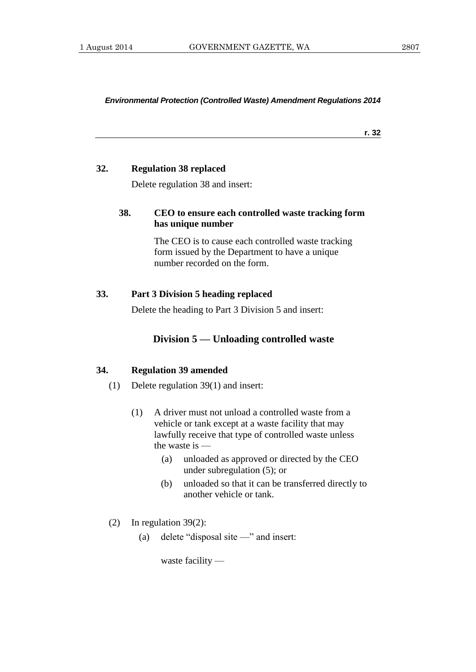**r. 32**

### **32. Regulation 38 replaced**

Delete regulation 38 and insert:

# **38. CEO to ensure each controlled waste tracking form has unique number**

The CEO is to cause each controlled waste tracking form issued by the Department to have a unique number recorded on the form.

# **33. Part 3 Division 5 heading replaced**

Delete the heading to Part 3 Division 5 and insert:

# **Division 5 — Unloading controlled waste**

#### **34. Regulation 39 amended**

- (1) Delete regulation 39(1) and insert:
	- (1) A driver must not unload a controlled waste from a vehicle or tank except at a waste facility that may lawfully receive that type of controlled waste unless the waste is —
		- (a) unloaded as approved or directed by the CEO under subregulation (5); or
		- (b) unloaded so that it can be transferred directly to another vehicle or tank.
- (2) In regulation 39(2):
	- (a) delete "disposal site —" and insert: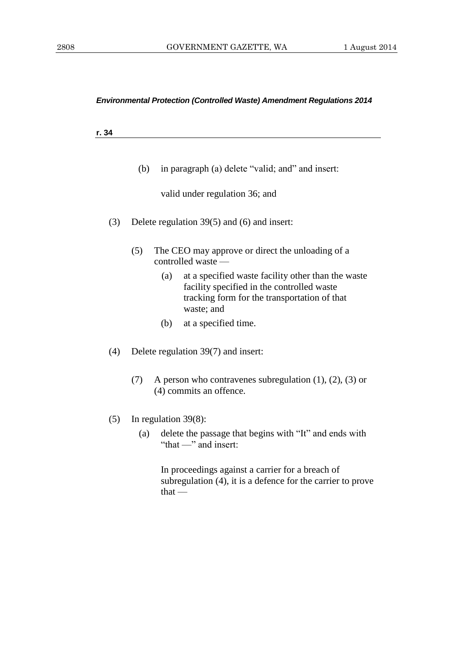**r. 34**

(b) in paragraph (a) delete "valid; and" and insert:

valid under regulation 36; and

- (3) Delete regulation 39(5) and (6) and insert:
	- (5) The CEO may approve or direct the unloading of a controlled waste —
		- (a) at a specified waste facility other than the waste facility specified in the controlled waste tracking form for the transportation of that waste; and
		- (b) at a specified time.
- (4) Delete regulation 39(7) and insert:
	- (7) A person who contravenes subregulation (1), (2), (3) or (4) commits an offence.
- (5) In regulation 39(8):
	- (a) delete the passage that begins with "It" and ends with "that —" and insert:

In proceedings against a carrier for a breach of subregulation (4), it is a defence for the carrier to prove  $that -$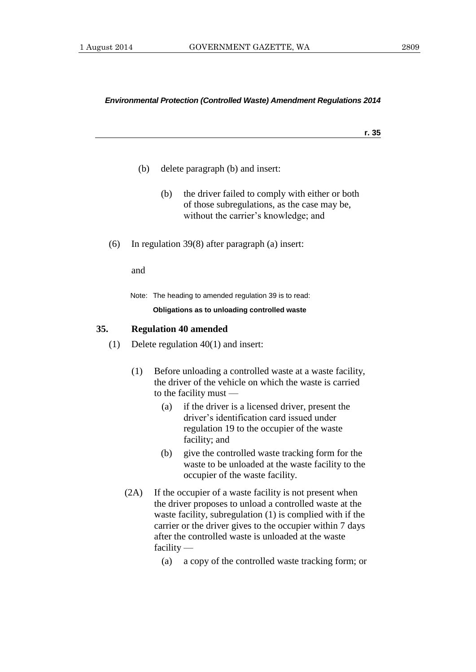#### **r. 35**

- (b) delete paragraph (b) and insert:
	- (b) the driver failed to comply with either or both of those subregulations, as the case may be, without the carrier's knowledge; and
- (6) In regulation 39(8) after paragraph (a) insert:

and

Note: The heading to amended regulation 39 is to read:

#### **Obligations as to unloading controlled waste**

# **35. Regulation 40 amended**

- (1) Delete regulation 40(1) and insert:
	- (1) Before unloading a controlled waste at a waste facility, the driver of the vehicle on which the waste is carried to the facility must —
		- (a) if the driver is a licensed driver, present the driver's identification card issued under regulation 19 to the occupier of the waste facility; and
		- (b) give the controlled waste tracking form for the waste to be unloaded at the waste facility to the occupier of the waste facility.
	- (2A) If the occupier of a waste facility is not present when the driver proposes to unload a controlled waste at the waste facility, subregulation (1) is complied with if the carrier or the driver gives to the occupier within 7 days after the controlled waste is unloaded at the waste facility —
		- (a) a copy of the controlled waste tracking form; or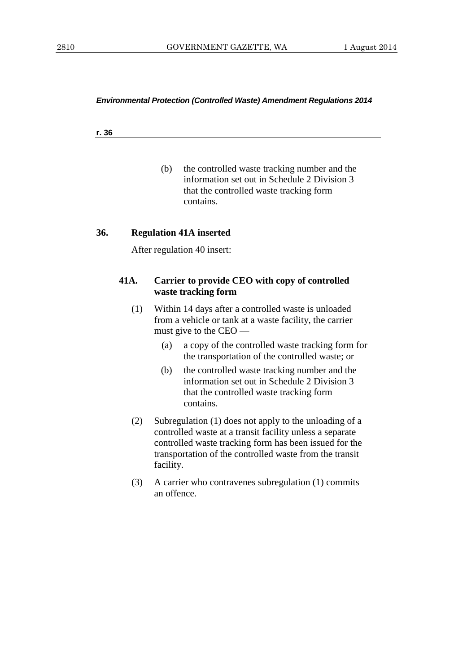#### **r. 36**

(b) the controlled waste tracking number and the information set out in Schedule 2 Division 3 that the controlled waste tracking form contains.

# **36. Regulation 41A inserted**

After regulation 40 insert:

# **41A. Carrier to provide CEO with copy of controlled waste tracking form**

- (1) Within 14 days after a controlled waste is unloaded from a vehicle or tank at a waste facility, the carrier must give to the CEO —
	- (a) a copy of the controlled waste tracking form for the transportation of the controlled waste; or
	- (b) the controlled waste tracking number and the information set out in Schedule 2 Division 3 that the controlled waste tracking form contains.
- (2) Subregulation (1) does not apply to the unloading of a controlled waste at a transit facility unless a separate controlled waste tracking form has been issued for the transportation of the controlled waste from the transit facility.
- (3) A carrier who contravenes subregulation (1) commits an offence.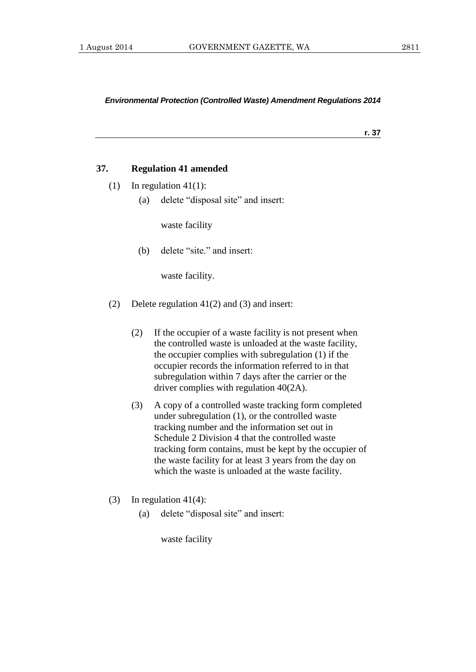**r. 37**

## **37. Regulation 41 amended**

- (1) In regulation  $41(1)$ :
	- (a) delete "disposal site" and insert:

waste facility

(b) delete "site." and insert:

waste facility.

- (2) Delete regulation 41(2) and (3) and insert:
	- (2) If the occupier of a waste facility is not present when the controlled waste is unloaded at the waste facility, the occupier complies with subregulation (1) if the occupier records the information referred to in that subregulation within 7 days after the carrier or the driver complies with regulation 40(2A).
	- (3) A copy of a controlled waste tracking form completed under subregulation (1), or the controlled waste tracking number and the information set out in Schedule 2 Division 4 that the controlled waste tracking form contains, must be kept by the occupier of the waste facility for at least 3 years from the day on which the waste is unloaded at the waste facility.
- (3) In regulation  $41(4)$ :
	- (a) delete "disposal site" and insert: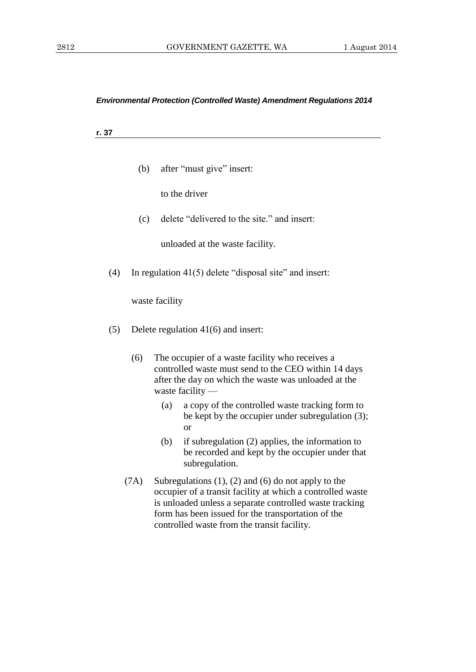**r. 37**

(b) after "must give" insert:

to the driver

(c) delete "delivered to the site." and insert:

unloaded at the waste facility.

(4) In regulation 41(5) delete "disposal site" and insert:

- (5) Delete regulation 41(6) and insert:
	- (6) The occupier of a waste facility who receives a controlled waste must send to the CEO within 14 days after the day on which the waste was unloaded at the waste facility —
		- (a) a copy of the controlled waste tracking form to be kept by the occupier under subregulation (3); or
		- (b) if subregulation (2) applies, the information to be recorded and kept by the occupier under that subregulation.
	- (7A) Subregulations (1), (2) and (6) do not apply to the occupier of a transit facility at which a controlled waste is unloaded unless a separate controlled waste tracking form has been issued for the transportation of the controlled waste from the transit facility.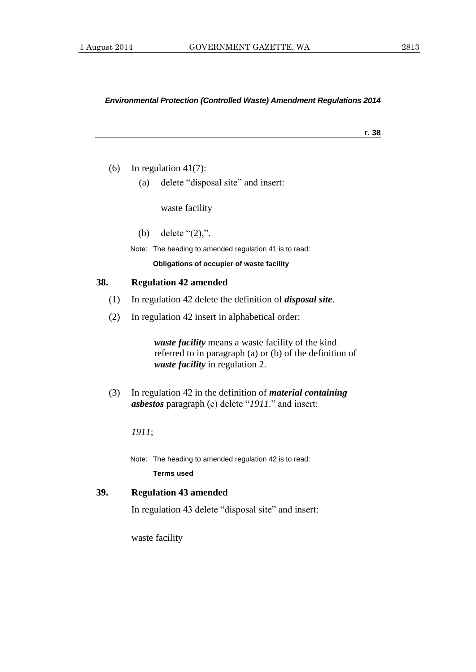#### **r. 38**

- (6) In regulation  $41(7)$ :
	- (a) delete "disposal site" and insert:

waste facility

(b) delete "(2),".

Note: The heading to amended regulation 41 is to read:

**Obligations of occupier of waste facility**

#### **38. Regulation 42 amended**

- (1) In regulation 42 delete the definition of *disposal site*.
- (2) In regulation 42 insert in alphabetical order:

*waste facility* means a waste facility of the kind referred to in paragraph (a) or (b) of the definition of *waste facility* in regulation 2.

(3) In regulation 42 in the definition of *material containing asbestos* paragraph (c) delete "*1911*." and insert:

*1911*;

Note: The heading to amended regulation 42 is to read:

**Terms used**

# **39. Regulation 43 amended**

In regulation 43 delete "disposal site" and insert: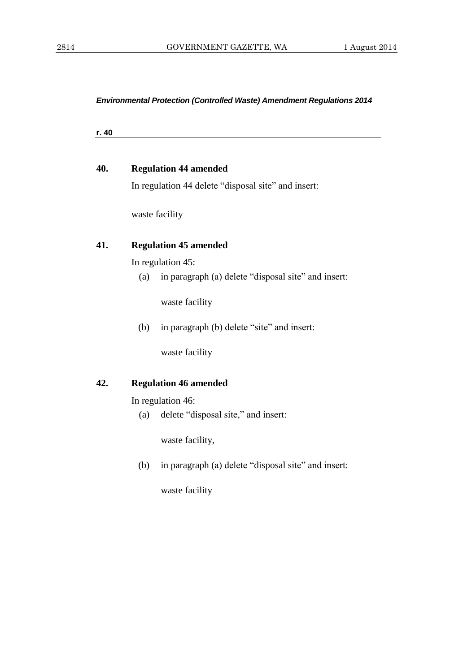**r. 40**

| 40. | <b>Regulation 44 amended</b>                               |  |  |
|-----|------------------------------------------------------------|--|--|
|     | In regulation 44 delete "disposal site" and insert:        |  |  |
|     | waste facility                                             |  |  |
| 41. | <b>Regulation 45 amended</b>                               |  |  |
|     | In regulation 45:                                          |  |  |
|     | in paragraph (a) delete "disposal site" and insert:<br>(a) |  |  |
|     | waste facility                                             |  |  |
|     | in paragraph (b) delete "site" and insert:<br>(b)          |  |  |
|     | waste facility                                             |  |  |
| 42. | <b>Regulation 46 amended</b>                               |  |  |
|     | In regulation 46:                                          |  |  |
|     | delete "disposal site," and insert:<br>(a)                 |  |  |
|     | waste facility,                                            |  |  |

(b) in paragraph (a) delete "disposal site" and insert: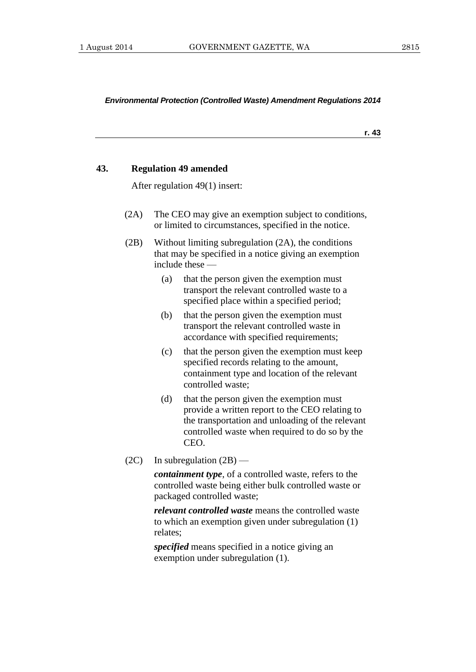**r. 43**

# **43. Regulation 49 amended**

After regulation 49(1) insert:

- (2A) The CEO may give an exemption subject to conditions, or limited to circumstances, specified in the notice.
- (2B) Without limiting subregulation (2A), the conditions that may be specified in a notice giving an exemption include these —
	- (a) that the person given the exemption must transport the relevant controlled waste to a specified place within a specified period;
	- (b) that the person given the exemption must transport the relevant controlled waste in accordance with specified requirements;
	- (c) that the person given the exemption must keep specified records relating to the amount, containment type and location of the relevant controlled waste;
	- (d) that the person given the exemption must provide a written report to the CEO relating to the transportation and unloading of the relevant controlled waste when required to do so by the CEO.
- (2C) In subregulation  $(2B)$  —

*containment type*, of a controlled waste, refers to the controlled waste being either bulk controlled waste or packaged controlled waste;

*relevant controlled waste* means the controlled waste to which an exemption given under subregulation (1) relates;

*specified* means specified in a notice giving an exemption under subregulation (1).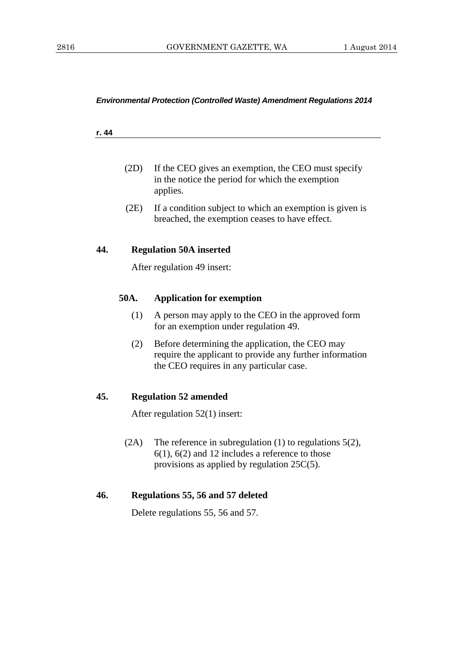#### **r. 44**

- (2D) If the CEO gives an exemption, the CEO must specify in the notice the period for which the exemption applies.
- (2E) If a condition subject to which an exemption is given is breached, the exemption ceases to have effect.

# **44. Regulation 50A inserted**

After regulation 49 insert:

# **50A. Application for exemption**

- (1) A person may apply to the CEO in the approved form for an exemption under regulation 49.
- (2) Before determining the application, the CEO may require the applicant to provide any further information the CEO requires in any particular case.

# **45. Regulation 52 amended**

After regulation 52(1) insert:

(2A) The reference in subregulation (1) to regulations 5(2), 6(1), 6(2) and 12 includes a reference to those provisions as applied by regulation 25C(5).

# **46. Regulations 55, 56 and 57 deleted**

Delete regulations 55, 56 and 57.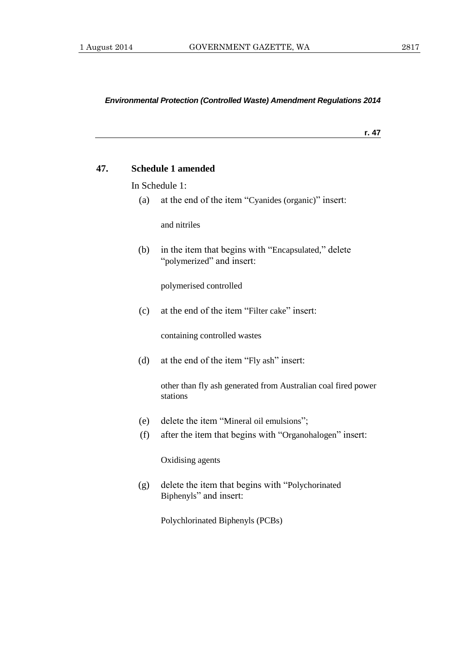**r. 47**

### **47. Schedule 1 amended**

In Schedule 1:

(a) at the end of the item "Cyanides (organic)" insert:

and nitriles

(b) in the item that begins with "Encapsulated," delete "polymerized" and insert:

polymerised controlled

(c) at the end of the item "Filter cake" insert:

containing controlled wastes

(d) at the end of the item "Fly ash" insert:

other than fly ash generated from Australian coal fired power stations

- (e) delete the item "Mineral oil emulsions";
- (f) after the item that begins with "Organohalogen" insert:

Oxidising agents

(g) delete the item that begins with "Polychorinated Biphenyls" and insert:

Polychlorinated Biphenyls (PCBs)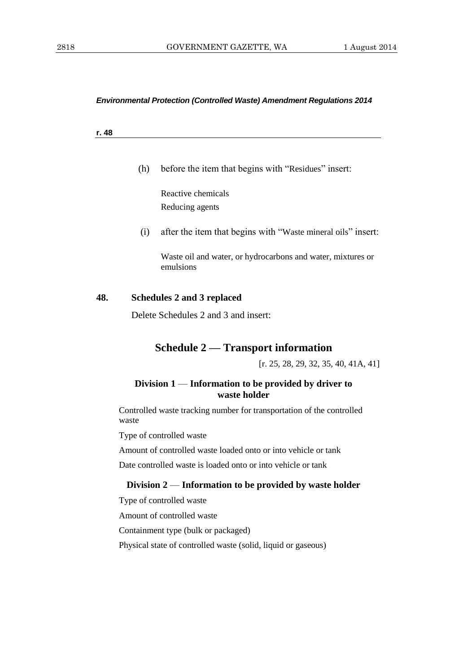**r. 48**

(h) before the item that begins with "Residues" insert:

Reactive chemicals Reducing agents

(i) after the item that begins with "Waste mineral oils" insert:

Waste oil and water, or hydrocarbons and water, mixtures or emulsions

### **48. Schedules 2 and 3 replaced**

Delete Schedules 2 and 3 and insert:

# **Schedule 2 — Transport information**

[r. 25, 28, 29, 32, 35, 40, 41A, 41]

# **Division 1** — **Information to be provided by driver to waste holder**

Controlled waste tracking number for transportation of the controlled waste

Type of controlled waste

Amount of controlled waste loaded onto or into vehicle or tank

Date controlled waste is loaded onto or into vehicle or tank

## **Division 2** — **Information to be provided by waste holder**

Type of controlled waste

Amount of controlled waste

Containment type (bulk or packaged)

Physical state of controlled waste (solid, liquid or gaseous)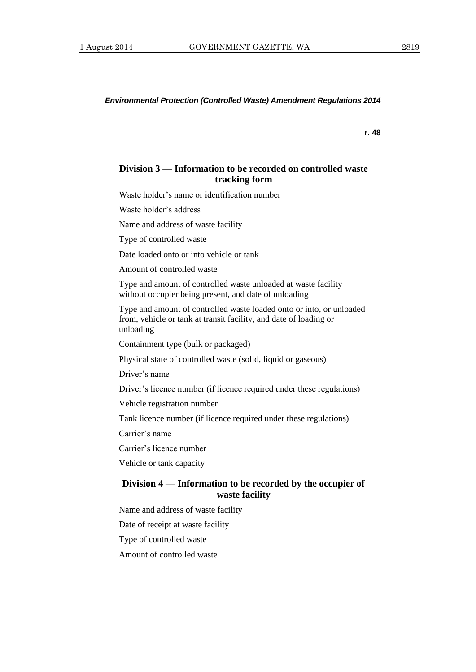**r. 48**

# **Division 3 — Information to be recorded on controlled waste tracking form**

Waste holder's name or identification number

Waste holder's address

Name and address of waste facility

Type of controlled waste

Date loaded onto or into vehicle or tank

Amount of controlled waste

Type and amount of controlled waste unloaded at waste facility without occupier being present, and date of unloading

Type and amount of controlled waste loaded onto or into, or unloaded from, vehicle or tank at transit facility, and date of loading or unloading

Containment type (bulk or packaged)

Physical state of controlled waste (solid, liquid or gaseous)

Driver's name

Driver's licence number (if licence required under these regulations)

Vehicle registration number

Tank licence number (if licence required under these regulations)

Carrier's name

Carrier's licence number

Vehicle or tank capacity

# **Division 4** — **Information to be recorded by the occupier of waste facility**

Name and address of waste facility

Date of receipt at waste facility

Type of controlled waste

Amount of controlled waste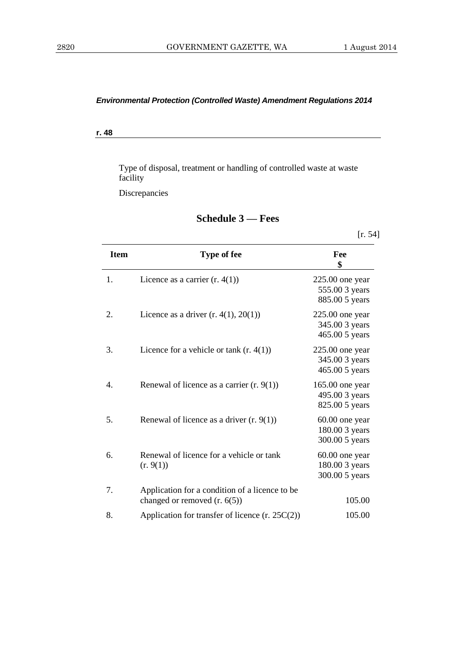**r. 48**

Type of disposal, treatment or handling of controlled waste at waste facility

Discrepancies

|             |                                                                                  | [r. 54]                                               |
|-------------|----------------------------------------------------------------------------------|-------------------------------------------------------|
| <b>Item</b> | Type of fee                                                                      | Fee<br>\$                                             |
| 1.          | Licence as a carrier $(r. 4(1))$                                                 | $225.00$ one year<br>555.00 3 years<br>885.00 5 years |
| 2.          | Licence as a driver $(r. 4(1), 20(1))$                                           | $225.00$ one year<br>345.00 3 years<br>465.00 5 years |
| 3.          | Licence for a vehicle or tank $(r. 4(1))$                                        | $225.00$ one year<br>345.00 3 years<br>465.00 5 years |
| 4.          | Renewal of licence as a carrier $(r. 9(1))$                                      | $165.00$ one year<br>495.00 3 years<br>825.00 5 years |
| 5.          | Renewal of licence as a driver $(r. 9(1))$                                       | 60.00 one year<br>180.00 3 years<br>300.00 5 years    |
| 6.          | Renewal of licence for a vehicle or tank<br>(r. 9(1))                            | 60.00 one year<br>180.00 3 years<br>300.00 5 years    |
| 7.          | Application for a condition of a licence to be<br>changed or removed $(r. 6(5))$ | 105.00                                                |
| 8.          | Application for transfer of licence $(r. 25C(2))$                                | 105.00                                                |

# **Schedule 3 — Fees**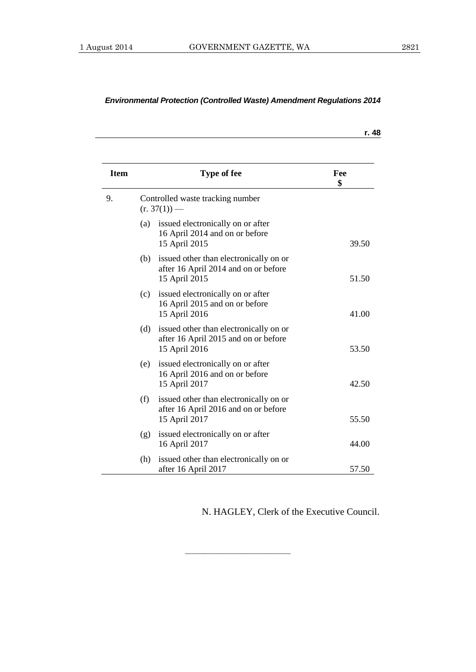|             |     |                                                                                                 | r. 48     |
|-------------|-----|-------------------------------------------------------------------------------------------------|-----------|
| <b>Item</b> |     | <b>Type of fee</b>                                                                              | Fee<br>\$ |
| 9.          |     | Controlled waste tracking number<br>$(r. 37(1))$ —                                              |           |
|             | (a) | issued electronically on or after<br>16 April 2014 and on or before<br>15 April 2015            | 39.50     |
|             | (b) | issued other than electronically on or<br>after 16 April 2014 and on or before<br>15 April 2015 | 51.50     |
|             | (c) | issued electronically on or after<br>16 April 2015 and on or before<br>15 April 2016            | 41.00     |
|             | (d) | issued other than electronically on or<br>after 16 April 2015 and on or before<br>15 April 2016 | 53.50     |
|             | (e) | issued electronically on or after<br>16 April 2016 and on or before<br>15 April 2017            | 42.50     |
|             | (f) | issued other than electronically on or<br>after 16 April 2016 and on or before<br>15 April 2017 | 55.50     |
|             | (g) | issued electronically on or after<br>16 April 2017                                              | 44.00     |
|             | (h) | issued other than electronically on or<br>after 16 April 2017                                   | 57.50     |

———————————

N. HAGLEY, Clerk of the Executive Council.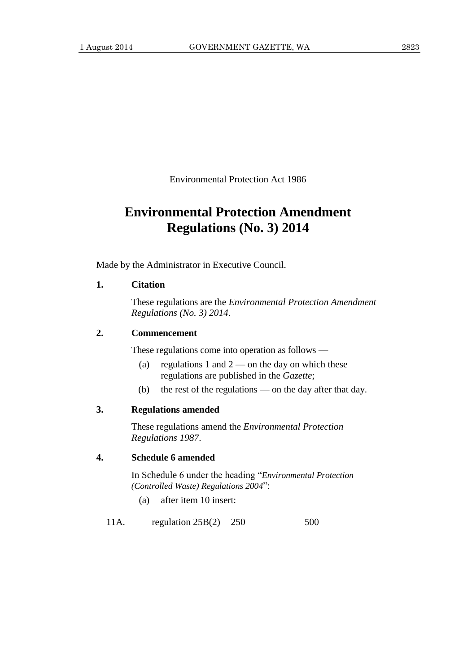Environmental Protection Act 1986

# **Environmental Protection Amendment Regulations (No. 3) 2014**

Made by the Administrator in Executive Council.

# **1. Citation**

These regulations are the *Environmental Protection Amendment Regulations (No. 3) 2014*.

# **2. Commencement**

These regulations come into operation as follows —

- (a) regulations 1 and  $2$  on the day on which these regulations are published in the *Gazette*;
- (b) the rest of the regulations on the day after that day.

# **3. Regulations amended**

These regulations amend the *Environmental Protection Regulations 1987*.

# **4. Schedule 6 amended**

In Schedule 6 under the heading "*Environmental Protection (Controlled Waste) Regulations 2004*":

(a) after item 10 insert:

11A. regulation 25B(2) 250 500